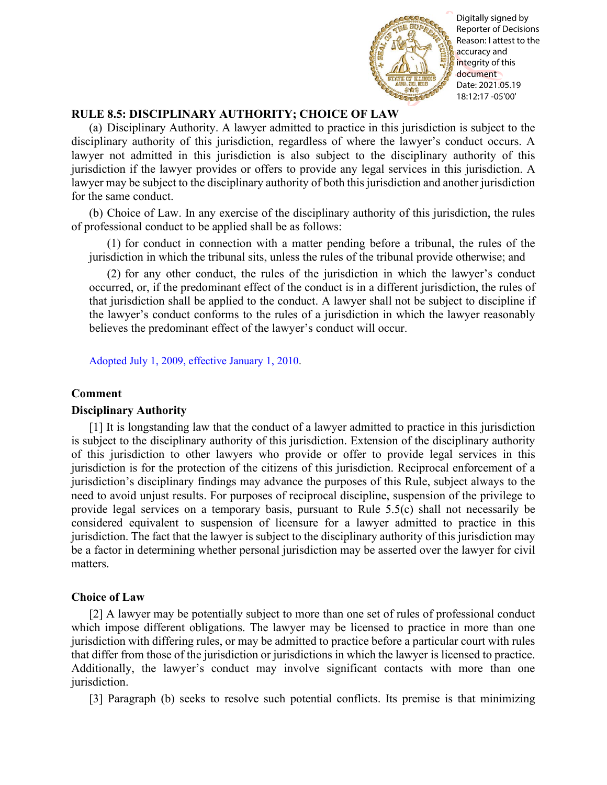

Reporter of Decisions Reason: I attest to the accuracy and integrity of this document Date: 2021.05.19 18:12:17 -05'00'

## **RULE 8.5: DISCIPLINARY AUTHORITY; CHOICE OF LAW**

(a) Disciplinary Authority. A lawyer admitted to practice in this jurisdiction is subject to the disciplinary authority of this jurisdiction, regardless of where the lawyer's conduct occurs. A lawyer not admitted in this jurisdiction is also subject to the disciplinary authority of this jurisdiction if the lawyer provides or offers to provide any legal services in this jurisdiction. A lawyer may be subject to the disciplinary authority of both this jurisdiction and another jurisdiction for the same conduct.

(b) Choice of Law. In any exercise of the disciplinary authority of this jurisdiction, the rules of professional conduct to be applied shall be as follows:

(1) for conduct in connection with a matter pending before a tribunal, the rules of the jurisdiction in which the tribunal sits, unless the rules of the tribunal provide otherwise; and

(2) for any other conduct, the rules of the jurisdiction in which the lawyer's conduct occurred, or, if the predominant effect of the conduct is in a different jurisdiction, the rules of that jurisdiction shall be applied to the conduct. A lawyer shall not be subject to discipline if the lawyer's conduct conforms to the rules of a jurisdiction in which the lawyer reasonably believes the predominant effect of the lawyer's conduct will occur.

[Adopted July 1, 2009, effective January 1, 2010.](http://www.illinoiscourts.gov/files/070109.pdf/amendment)

## **Comment**

## **Disciplinary Authority**

[1] It is longstanding law that the conduct of a lawyer admitted to practice in this jurisdiction is subject to the disciplinary authority of this jurisdiction. Extension of the disciplinary authority of this jurisdiction to other lawyers who provide or offer to provide legal services in this jurisdiction is for the protection of the citizens of this jurisdiction. Reciprocal enforcement of a jurisdiction's disciplinary findings may advance the purposes of this Rule, subject always to the need to avoid unjust results. For purposes of reciprocal discipline, suspension of the privilege to provide legal services on a temporary basis, pursuant to Rule 5.5(c) shall not necessarily be considered equivalent to suspension of licensure for a lawyer admitted to practice in this jurisdiction. The fact that the lawyer is subject to the disciplinary authority of this jurisdiction may be a factor in determining whether personal jurisdiction may be asserted over the lawyer for civil matters. **EXALUATE AND CONSULTIVE CONSULTS AND CONSULTS AND CONSULTS.** The section of  $\theta$  of  $\theta$  and  $\theta$  and  $\theta$  and  $\theta$  and  $\theta$  and  $\theta$  and  $\theta$  and  $\theta$  and  $\theta$  and  $\theta$  and  $\theta$  and  $\theta$  and  $\theta$  and  $\theta$  and  $\theta$  and

## **Choice of Law**

[2] A lawyer may be potentially subject to more than one set of rules of professional conduct which impose different obligations. The lawyer may be licensed to practice in more than one jurisdiction with differing rules, or may be admitted to practice before a particular court with rules that differ from those of the jurisdiction or jurisdictions in which the lawyer is licensed to practice. Additionally, the lawyer's conduct may involve significant contacts with more than one jurisdiction.